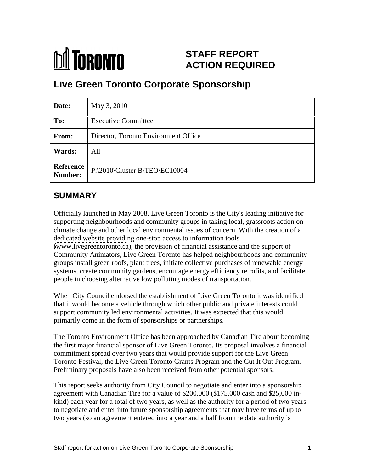

# **STAFF REPORT ACTION REQUIRED**

# **Live Green Toronto Corporate Sponsorship**

| Date:         | May 3, 2010                             |
|---------------|-----------------------------------------|
| To:           | <b>Executive Committee</b>              |
| From:         | Director, Toronto Environment Office    |
| <b>Wards:</b> | All                                     |
|               | Reference P:\2010\Cluster B\TEO\EC10004 |

## **SUMMARY**

Officially launched in May 2008, Live Green Toronto is the City's leading initiative for supporting neighbourhoods and community groups in taking local, grassroots action on climate change and other local environmental issues of concern. With the creation of a dedicated website providing one-stop access to information tools [\(www.livegreentoronto.ca](http://www.livegreentoronto.ca)), the provision of financial assistance and the support of Community Animators, Live Green Toronto has helped neighbourhoods and community groups install green roofs, plant trees, initiate collective purchases of renewable energy systems, create community gardens, encourage energy efficiency retrofits, and facilitate people in choosing alternative low polluting modes of transportation.

When City Council endorsed the establishment of Live Green Toronto it was identified that it would become a vehicle through which other public and private interests could support community led environmental activities. It was expected that this would primarily come in the form of sponsorships or partnerships.

The Toronto Environment Office has been approached by Canadian Tire about becoming the first major financial sponsor of Live Green Toronto. Its proposal involves a financial commitment spread over two years that would provide support for the Live Green Toronto Festival, the Live Green Toronto Grants Program and the Cut It Out Program. Preliminary proposals have also been received from other potential sponsors.

This report seeks authority from City Council to negotiate and enter into a sponsorship agreement with Canadian Tire for a value of \$200,000 (\$175,000 cash and \$25,000 in kind) each year for a total of two years, as well as the authority for a period of two years to negotiate and enter into future sponsorship agreements that may have terms of up to two years (so an agreement entered into a year and a half from the date authority is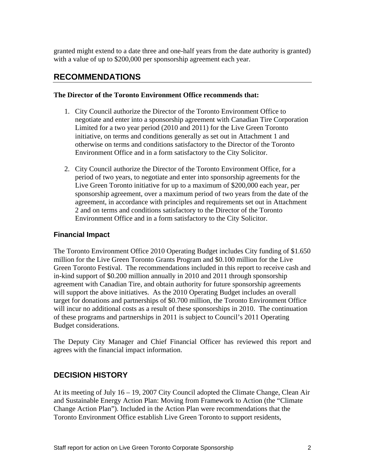granted might extend to a date three and one-half years from the date authority is granted) with a value of up to \$200,000 per sponsorship agreement each year.

## **RECOMMENDATIONS**

#### **The Director of the Toronto Environment Office recommends that:**

- 1. City Council authorize the Director of the Toronto Environment Office to negotiate and enter into a sponsorship agreement with Canadian Tire Corporation Limited for a two year period (2010 and 2011) for the Live Green Toronto initiative, on terms and conditions generally as set out in Attachment 1 and otherwise on terms and conditions satisfactory to the Director of the Toronto Environment Office and in a form satisfactory to the City Solicitor.
- 2. City Council authorize the Director of the Toronto Environment Office, for a period of two years, to negotiate and enter into sponsorship agreements for the Live Green Toronto initiative for up to a maximum of \$200,000 each year, per sponsorship agreement, over a maximum period of two years from the date of the agreement, in accordance with principles and requirements set out in Attachment 2 and on terms and conditions satisfactory to the Director of the Toronto Environment Office and in a form satisfactory to the City Solicitor.

### **Financial Impact**

The Toronto Environment Office 2010 Operating Budget includes City funding of \$1.650 million for the Live Green Toronto Grants Program and \$0.100 million for the Live Green Toronto Festival. The recommendations included in this report to receive cash and in-kind support of \$0.200 million annually in 2010 and 2011 through sponsorship agreement with Canadian Tire, and obtain authority for future sponsorship agreements will support the above initiatives. As the 2010 Operating Budget includes an overall target for donations and partnerships of \$0.700 million, the Toronto Environment Office will incur no additional costs as a result of these sponsorships in 2010. The continuation of these programs and partnerships in 2011 is subject to Council's 2011 Operating

Budget considerations.<br>The Deputy City Manager and Chief Financial Officer has reviewed this report and agrees with the financial impact information.

## **DECISION HISTORY**

At its meeting of July 16 – 19, 2007 City Council adopted the Climate Change, Clean Air and Sustainable Energy Action Plan: Moving from Framework to Action (the "Climate Change Action Plan"). Included in the Action Plan were recommendations that the Toronto Environment Office establish Live Green Toronto to support residents,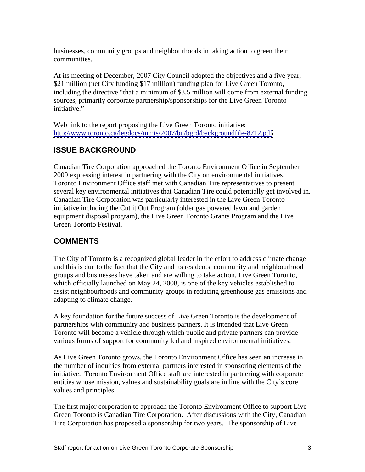businesses, community groups and neighbourhoods in taking action to green their communities.

At its meeting of December, 2007 City Council adopted the objectives and a five year, \$21 million (net City funding \$17 million) funding plan for Live Green Toronto, including the directive "that a minimum of \$3.5 million will come from external funding sources, primarily corporate partnership/sponsorships for the Live Green Toronto initiative." initiative."

Web link to the report proposing the Live Green Toronto initiative: <http://www.toronto.ca/legdocs/mmis/2007/bu/bgrd/backgroundfile-8712.pdf>

# **ISSUE BACKGROUND**

Canadian Tire Corporation approached the Toronto Environment Office in September 2009 expressing interest in partnering with the City on environmental initiatives. Toronto Environment Office staff met with Canadian Tire representatives to present several key environmental initiatives that Canadian Tire could potentially get involved in. Canadian Tire Corporation was particularly interested in the Live Green Toronto initiative including the Cut it Out Program (older gas powered lawn and garden equipment disposal program), the Live Green Toronto Grants Program and the Live Green Toronto Festival.

# **COMMENTS**

The City of Toronto is a recognized global leader in the effort to address climate change and this is due to the fact that the City and its residents, community and neighbourhood groups and businesses have taken and are willing to take action. Live Green Toronto, which officially launched on May 24, 2008, is one of the key vehicles established to assist neighbourhoods and community groups in reducing greenhouse gas emissions and adapting to climate change.

A key foundation for the future success of Live Green Toronto is the development of partnerships with community and business partners. It is intended that Live Green Toronto will become a vehicle through which public and private partners can provide various forms of support for community led and inspired environmental initiatives.

As Live Green Toronto grows, the Toronto Environment Office has seen an increase in the number of inquiries from external partners interested in sponsoring elements of the initiative. Toronto Environment Office staff are interested in partnering with corporate entities whose mission, values and sustainability goals are in line with the City's core values and principles.

The first major corporation to approach the Toronto Environment Office to support Live Green Toronto is Canadian Tire Corporation. After discussions with the City, Canadian Tire Corporation has proposed a sponsorship for two years. The sponsorship of Live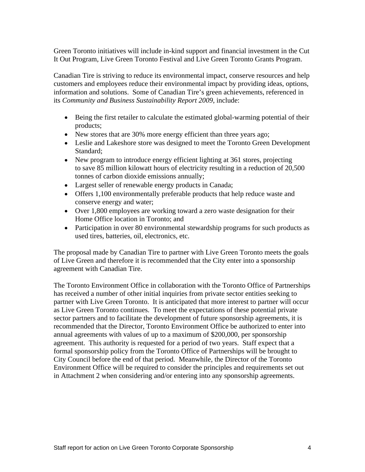Green Toronto initiatives will include in-kind support and financial investment in the Cut It Out Program, Live Green Toronto Festival and Live Green Toronto Grants Program.

Canadian Tire is striving to reduce its environmental impact, conserve resources and help customers and employees reduce their environmental impact by providing ideas, options, information and solutions. Some of Canadian Tire's green achievements, referenced in its *Community and Business Sustainability Report 2009*, include:

- Being the first retailer to calculate the estimated global-warming potential of their products;
- New stores that are 30% more energy efficient than three years ago;
- Leslie and Lakeshore store was designed to meet the Toronto Green Development Standard; the contract of the contract of the contract of the contract of the contract of the contract of the contract of the contract of the contract of the contract of the contract of the contract of the contract of the
- New program to introduce energy efficient lighting at 361 stores, projecting to save 85 million kilowatt hours of electricity resulting in a reduction of 20,500 tonnes of carbon dioxide emissions annually;
- Largest seller of renewable energy products in Canada;
- Offers 1,100 environmentally preferable products that help reduce waste and conserve energy and water;
- Over 1,800 employees are working toward a zero waste designation for their Home Office location in Toronto; and
- Participation in over 80 environmental stewardship programs for such products as used tires, batteries, oil, electronics, etc.

The proposal made by Canadian Tire to partner with Live Green Toronto meets the goals of Live Green and therefore it is recommended that the City enter into a sponsorship agreement with Canadian Tire.

The Toronto Environment Office in collaboration with the Toronto Office of Partnerships has received a number of other initial inquiries from private sector entities seeking to partner with Live Green Toronto. It is anticipated that more interest to partner will occur as Live Green Toronto continues. To meet the expectations of these potential private sector partners and to facilitate the development of future sponsorship agreements, it is recommended that the Director, Toronto Environment Office be authorized to enter into annual agreements with values of up to a maximum of \$200,000, per sponsorship agreement. This authority is requested for a period of two years. Staff expect that a formal sponsorship policy from the Toronto Office of Partnerships will be brought to City Council before the end of that period. Meanwhile, the Director of the Toronto Environment Office will be required to consider the principles and requirements set out in Attachment 2 when considering and/or entering into any sponsorship agreements.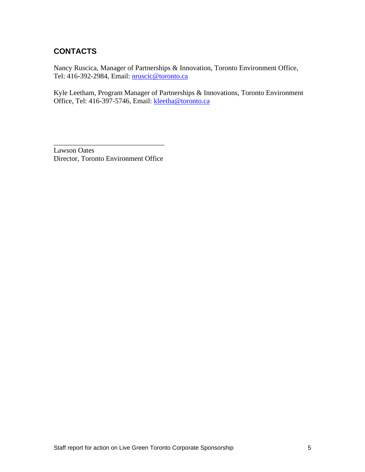# **CONTACTS**

Nancy Ruscica, Manager of Partnerships & Innovation, Toronto Environment Office, Tel: 416-392-2984, Email: nruscic@toronto.ca

Kyle Leetham, Program Manager of Partnerships & Innovations, Toronto Environment Office, Tel: 416-397-5746, Email: kleetha@toronto.ca

Lawson Oates Director, Toronto Environment Office

 $\overline{\phantom{a}}$  , we can assume that the contract of  $\overline{\phantom{a}}$  , we can assume that the contract of  $\overline{\phantom{a}}$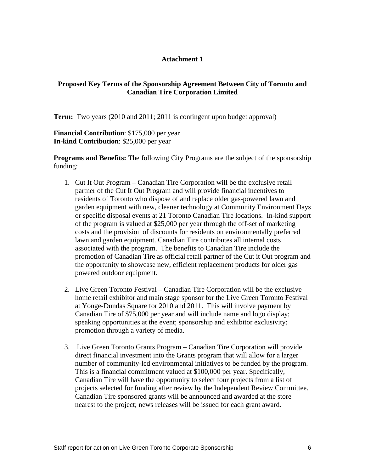#### **Attachment 1**

#### **Proposed Key Terms of the Sponsorship Agreement Between City of Toronto and Canadian Tire Corporation Limited**

**Term:** Two years (2010 and 2011; 2011 is contingent upon budget approval)

**Financial Contribution**: \$175,000 per year **In-kind Contribution**: \$25,000 per year

**Programs and Benefits:** The following City Programs are the subject of the sponsorship funding:

- 1. Cut It Out Program Canadian Tire Corporation will be the exclusive retail partner of the Cut It Out Program and will provide financial incentives to residents of Toronto who dispose of and replace older gas-powered lawn and garden equipment with new, cleaner technology at Community Environment Days or specific disposal events at 21 Toronto Canadian Tire locations. In-kind support of the program is valued at \$25,000 per year through the off-set of marketing costs and the provision of discounts for residents on environmentally preferred lawn and garden equipment. Canadian Tire contributes all internal costs associated with the program. The benefits to Canadian Tire include the promotion of Canadian Tire as official retail partner of the Cut it Out program and the opportunity to showcase new, efficient replacement products for older gas powered outdoor equipment.
- 2. Live Green Toronto Festival Canadian Tire Corporation will be the exclusive home retail exhibitor and main stage sponsor for the Live Green Toronto Festival at Yonge-Dundas Square for 2010 and 2011. This will involve payment by Canadian Tire of \$75,000 per year and will include name and logo display; speaking opportunities at the event; sponsorship and exhibitor exclusivity; promotion through a variety of media.
- 3. Live Green Toronto Grants Program Canadian Tire Corporation will provide direct financial investment into the Grants program that will allow for a larger number of community-led environmental initiatives to be funded by the program. This is a financial commitment valued at \$100,000 per year. Specifically, Canadian Tire will have the opportunity to select four projects from a list of projects selected for funding after review by the Independent Review Committee. Canadian Tire sponsored grants will be announced and awarded at the store nearest to the project; news releases will be issued for each grant award.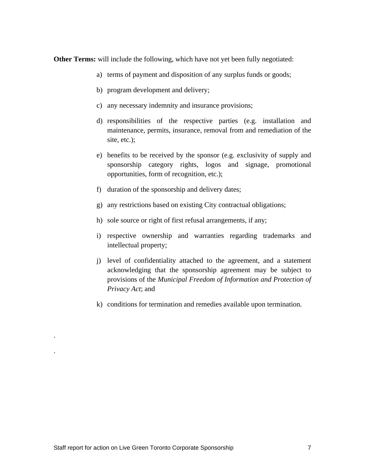**Other Terms:** will include the following, which have not yet been fully negotiated:

- a) terms of payment and disposition of any surplus funds or goods;
- b) program development and delivery;
- c) any necessary indemnity and insurance provisions;
- d) responsibilities of the respective parties (e.g. installation and maintenance, permits, insurance, removal from and remediation of the site, etc.);
- e) benefits to be received by the sponsor (e.g. exclusivity of supply and sponsorship category rights, logos and signage, promotional opportunities, form of recognition, etc.);
- f) duration of the sponsorship and delivery dates;
- g) any restrictions based on existing City contractual obligations;
- h) sole source or right of first refusal arrangements, if any;
- i) respective ownership and warranties regarding trademarks and intellectual property;
- j) level of confidentiality attached to the agreement, and a statement acknowledging that the sponsorship agreement may be subject to provisions of the *Municipal Freedom of Information and Protection of Privacy Act*; and
- k) conditions for termination and remedies available upon termination.

.<br>1980 – Paris Maria Barat, politikansk politiker († 1980)

.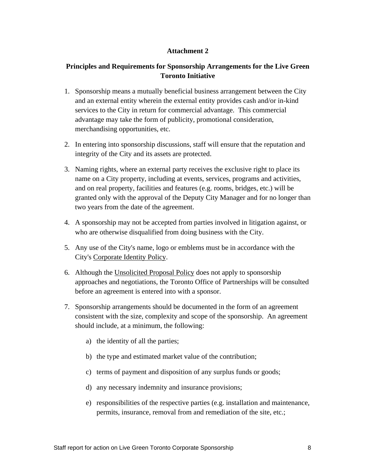### **Attachment 2**

### **Principles and Requirements for Sponsorship Arrangements for the Live Green Toronto Initiative**

- 1. Sponsorship means a mutually beneficial business arrangement between the City and an external entity wherein the external entity provides cash and/or in-kind services to the City in return for commercial advantage. This commercial advantage may take the form of publicity, promotional consideration, merchandising opportunities, etc.
- 2. In entering into sponsorship discussions, staff will ensure that the reputation and integrity of the City and its assets are protected.
- 3. Naming rights, where an external party receives the exclusive right to place its name on a City property, including at events, services, programs and activities, and on real property, facilities and features (e.g. rooms, bridges, etc.) will be granted only with the approval of the Deputy City Manager and for no longer than two years from the date of the agreement.
- 4. A sponsorship may not be accepted from parties involved in litigation against, or who are otherwise disqualified from doing business with the City.
- 5. Any use of the City's name, logo or emblems must be in accordance with the City's Corporate Identity Policy.
- 6. Although the Unsolicited Proposal Policy does not apply to sponsorship approaches and negotiations, the Toronto Office of Partnerships will be consulted before an agreement is entered into with a sponsor.
- 7. Sponsorship arrangements should be documented in the form of an agreement consistent with the size, complexity and scope of the sponsorship. An agreement should include, at a minimum, the following:
	- a) the identity of all the parties;
	- b) the type and estimated market value of the contribution;
	- c) terms of payment and disposition of any surplus funds or goods;
	- d) any necessary indemnity and insurance provisions;
	- e) responsibilities of the respective parties (e.g. installation and maintenance, permits, insurance, removal from and remediation of the site, etc.;